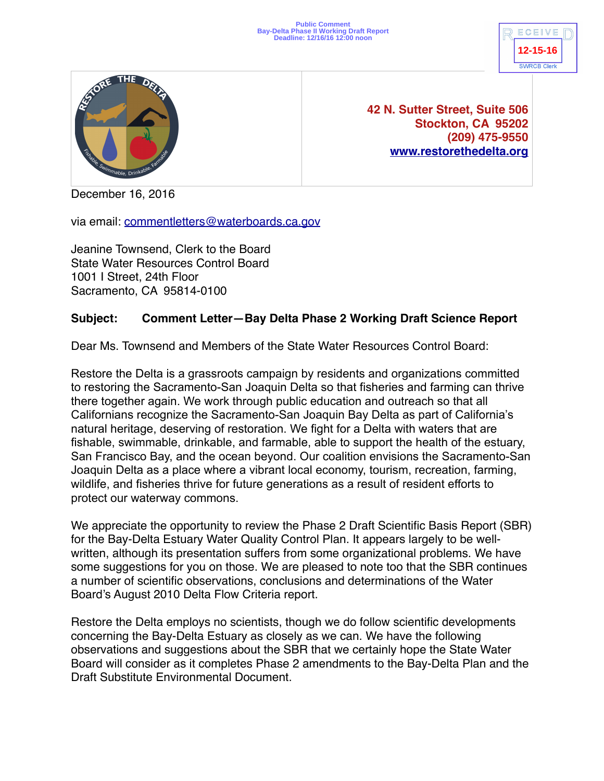



**42 N. Sutter Street, Suite 506 Stockton, CA 95202 (209) 475-9550 [www.restorethedelta.org](http://www.restorethedelta.org)**

December 16, 2016

via email: [commentletters@waterboards.ca.gov](mailto:commentletters@waterboards.ca.gov)

Jeanine Townsend, Clerk to the Board State Water Resources Control Board 1001 I Street, 24th Floor Sacramento, CA 95814-0100

## **Subject: Comment Letter—Bay Delta Phase 2 Working Draft Science Report**

Dear Ms. Townsend and Members of the State Water Resources Control Board:

Restore the Delta is a grassroots campaign by residents and organizations committed to restoring the Sacramento-San Joaquin Delta so that fisheries and farming can thrive there together again. We work through public education and outreach so that all Californians recognize the Sacramento-San Joaquin Bay Delta as part of California's natural heritage, deserving of restoration. We fight for a Delta with waters that are fishable, swimmable, drinkable, and farmable, able to support the health of the estuary, San Francisco Bay, and the ocean beyond. Our coalition envisions the Sacramento-San Joaquin Delta as a place where a vibrant local economy, tourism, recreation, farming, wildlife, and fisheries thrive for future generations as a result of resident efforts to protect our waterway commons.

We appreciate the opportunity to review the Phase 2 Draft Scientific Basis Report (SBR) for the Bay-Delta Estuary Water Quality Control Plan. It appears largely to be wellwritten, although its presentation suffers from some organizational problems. We have some suggestions for you on those. We are pleased to note too that the SBR continues a number of scientific observations, conclusions and determinations of the Water Board's August 2010 Delta Flow Criteria report.

Restore the Delta employs no scientists, though we do follow scientific developments concerning the Bay-Delta Estuary as closely as we can. We have the following observations and suggestions about the SBR that we certainly hope the State Water Board will consider as it completes Phase 2 amendments to the Bay-Delta Plan and the Draft Substitute Environmental Document.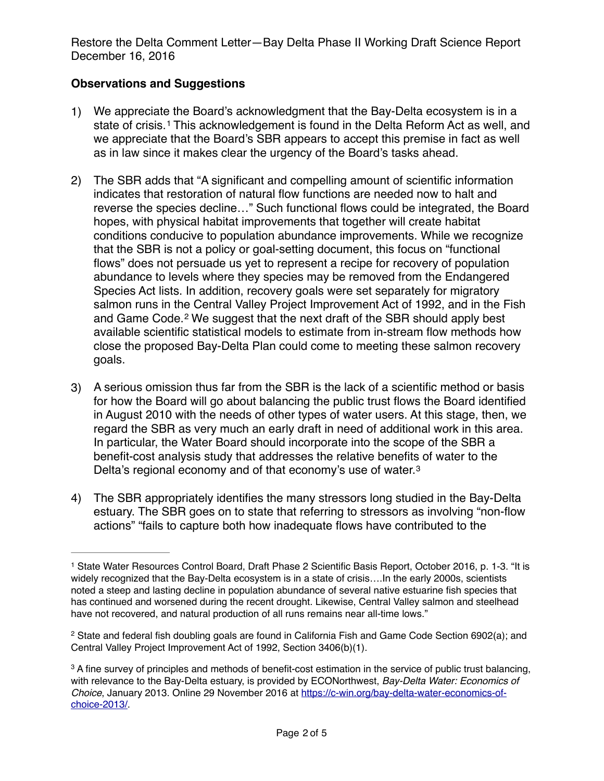## **Observations and Suggestions**

- <span id="page-1-3"></span>1) We appreciate the Board's acknowledgment that the Bay-Delta ecosystem is in a stateof crisis.<sup>[1](#page-1-0)</sup> This acknowledgement is found in the Delta Reform Act as well, and we appreciate that the Board's SBR appears to accept this premise in fact as well as in law since it makes clear the urgency of the Board's tasks ahead.
- 2) The SBR adds that "A significant and compelling amount of scientific information indicates that restoration of natural flow functions are needed now to halt and reverse the species decline…" Such functional flows could be integrated, the Board hopes, with physical habitat improvements that together will create habitat conditions conducive to population abundance improvements. While we recognize that the SBR is not a policy or goal-setting document, this focus on "functional flows" does not persuade us yet to represent a recipe for recovery of population abundance to levels where they species may be removed from the Endangered Species Act lists. In addition, recovery goals were set separately for migratory salmon runs in the Central Valley Project Improvement Act of 1992, and in the Fish andGame Code.<sup>[2](#page-1-1)</sup> We suggest that the next draft of the SBR should apply best available scientific statistical models to estimate from in-stream flow methods how close the proposed Bay-Delta Plan could come to meeting these salmon recovery goals.
- <span id="page-1-4"></span>3) A serious omission thus far from the SBR is the lack of a scientific method or basis for how the Board will go about balancing the public trust flows the Board identified in August 2010 with the needs of other types of water users. At this stage, then, we regard the SBR as very much an early draft in need of additional work in this area. In particular, the Water Board should incorporate into the scope of the SBR a benefit-cost analysis study that addresses the relative benefits of water to the Delta's regional economy and of that economy's use of water.[3](#page-1-2)
- <span id="page-1-5"></span>4) The SBR appropriately identifies the many stressors long studied in the Bay-Delta estuary. The SBR goes on to state that referring to stressors as involving "non-flow actions" "fails to capture both how inadequate flows have contributed to the

<span id="page-1-0"></span><sup>&</sup>lt;sup>[1](#page-1-3)</sup> State Water Resources Control Board, Draft Phase 2 Scientific Basis Report, October 2016, p. 1-3. "It is widely recognized that the Bay-Delta ecosystem is in a state of crisis….In the early 2000s, scientists noted a steep and lasting decline in population abundance of several native estuarine fish species that has continued and worsened during the recent drought. Likewise, Central Valley salmon and steelhead have not recovered, and natural production of all runs remains near all-time lows."

<span id="page-1-1"></span><sup>&</sup>lt;sup>[2](#page-1-4)</sup> State and federal fish doubling goals are found in California Fish and Game Code Section 6902(a); and Central Valley Project Improvement Act of 1992, Section 3406(b)(1).

<span id="page-1-2"></span><sup>&</sup>lt;sup>3</sup>A fine survey of principles and methods of benefit-cost estimation in the service of public trust balancing, with relevance to the Bay-Delta estuary, is provided by ECONorthwest, *Bay-Delta Water: Economics of Choice*[, January 2013. Online 29 November 2016 at https://c-win.org/bay-delta-water-economics-of](https://c-win.org/bay-delta-water-economics-of-choice-2013/)choice-2013/.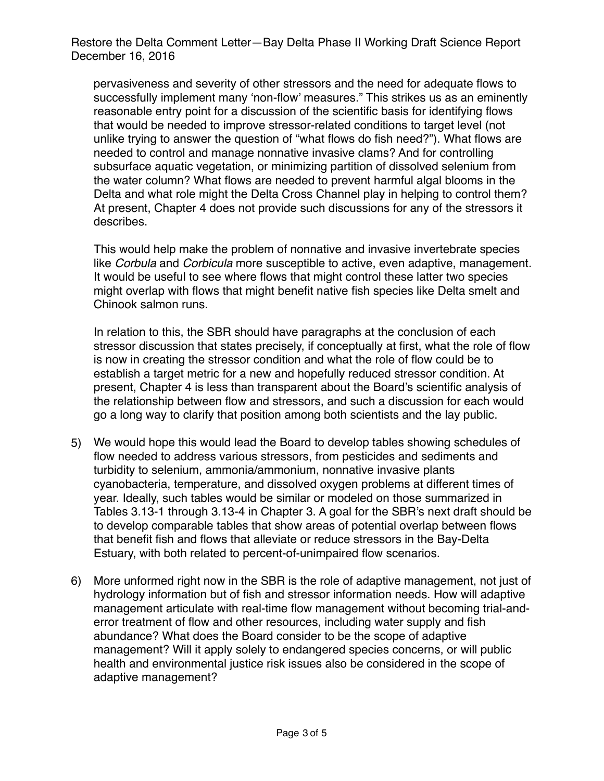pervasiveness and severity of other stressors and the need for adequate flows to successfully implement many 'non-flow' measures." This strikes us as an eminently reasonable entry point for a discussion of the scientific basis for identifying flows that would be needed to improve stressor-related conditions to target level (not unlike trying to answer the question of "what flows do fish need?"). What flows are needed to control and manage nonnative invasive clams? And for controlling subsurface aquatic vegetation, or minimizing partition of dissolved selenium from the water column? What flows are needed to prevent harmful algal blooms in the Delta and what role might the Delta Cross Channel play in helping to control them? At present, Chapter 4 does not provide such discussions for any of the stressors it describes.

This would help make the problem of nonnative and invasive invertebrate species like *Corbula* and *Corbicula* more susceptible to active, even adaptive, management*.* It would be useful to see where flows that might control these latter two species might overlap with flows that might benefit native fish species like Delta smelt and Chinook salmon runs.

In relation to this, the SBR should have paragraphs at the conclusion of each stressor discussion that states precisely, if conceptually at first, what the role of flow is now in creating the stressor condition and what the role of flow could be to establish a target metric for a new and hopefully reduced stressor condition. At present, Chapter 4 is less than transparent about the Board's scientific analysis of the relationship between flow and stressors, and such a discussion for each would go a long way to clarify that position among both scientists and the lay public.

- 5) We would hope this would lead the Board to develop tables showing schedules of flow needed to address various stressors, from pesticides and sediments and turbidity to selenium, ammonia/ammonium, nonnative invasive plants cyanobacteria, temperature, and dissolved oxygen problems at different times of year. Ideally, such tables would be similar or modeled on those summarized in Tables 3.13-1 through 3.13-4 in Chapter 3. A goal for the SBR's next draft should be to develop comparable tables that show areas of potential overlap between flows that benefit fish and flows that alleviate or reduce stressors in the Bay-Delta Estuary, with both related to percent-of-unimpaired flow scenarios.
- 6) More unformed right now in the SBR is the role of adaptive management, not just of hydrology information but of fish and stressor information needs. How will adaptive management articulate with real-time flow management without becoming trial-anderror treatment of flow and other resources, including water supply and fish abundance? What does the Board consider to be the scope of adaptive management? Will it apply solely to endangered species concerns, or will public health and environmental justice risk issues also be considered in the scope of adaptive management?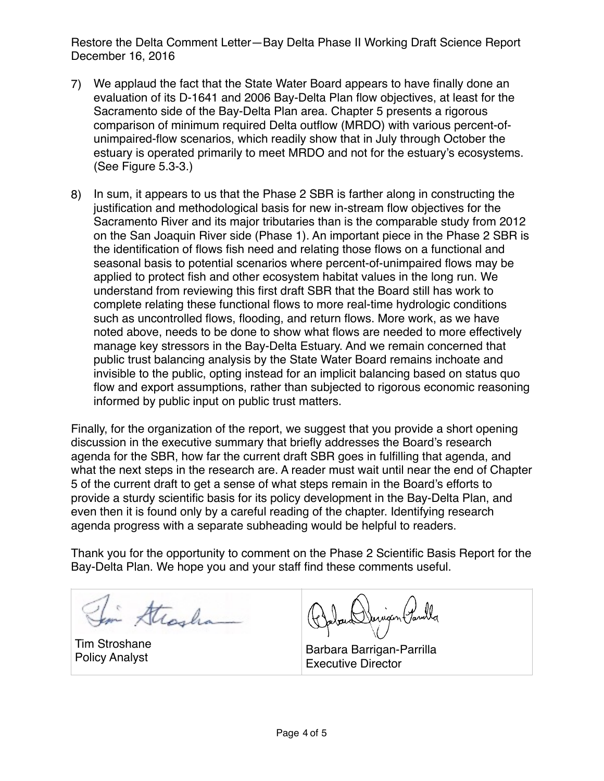- 7) We applaud the fact that the State Water Board appears to have finally done an evaluation of its D-1641 and 2006 Bay-Delta Plan flow objectives, at least for the Sacramento side of the Bay-Delta Plan area. Chapter 5 presents a rigorous comparison of minimum required Delta outflow (MRDO) with various percent-ofunimpaired-flow scenarios, which readily show that in July through October the estuary is operated primarily to meet MRDO and not for the estuary's ecosystems. (See Figure 5.3-3.)
- 8) In sum, it appears to us that the Phase 2 SBR is farther along in constructing the justification and methodological basis for new in-stream flow objectives for the Sacramento River and its major tributaries than is the comparable study from 2012 on the San Joaquin River side (Phase 1). An important piece in the Phase 2 SBR is the identification of flows fish need and relating those flows on a functional and seasonal basis to potential scenarios where percent-of-unimpaired flows may be applied to protect fish and other ecosystem habitat values in the long run. We understand from reviewing this first draft SBR that the Board still has work to complete relating these functional flows to more real-time hydrologic conditions such as uncontrolled flows, flooding, and return flows. More work, as we have noted above, needs to be done to show what flows are needed to more effectively manage key stressors in the Bay-Delta Estuary. And we remain concerned that public trust balancing analysis by the State Water Board remains inchoate and invisible to the public, opting instead for an implicit balancing based on status quo flow and export assumptions, rather than subjected to rigorous economic reasoning informed by public input on public trust matters.

Finally, for the organization of the report, we suggest that you provide a short opening discussion in the executive summary that briefly addresses the Board's research agenda for the SBR, how far the current draft SBR goes in fulfilling that agenda, and what the next steps in the research are. A reader must wait until near the end of Chapter 5 of the current draft to get a sense of what steps remain in the Board's efforts to provide a sturdy scientific basis for its policy development in the Bay-Delta Plan, and even then it is found only by a careful reading of the chapter. Identifying research agenda progress with a separate subheading would be helpful to readers.

Thank you for the opportunity to comment on the Phase 2 Scientific Basis Report for the Bay-Delta Plan. We hope you and your staff find these comments useful.

Strasha

Tim Stroshane

Derigan Panilla

Policy Analyst Barbara Barrigan-Parrilla<br>Policy Analyst Barbara Barrigan-Parrilla Executive Director